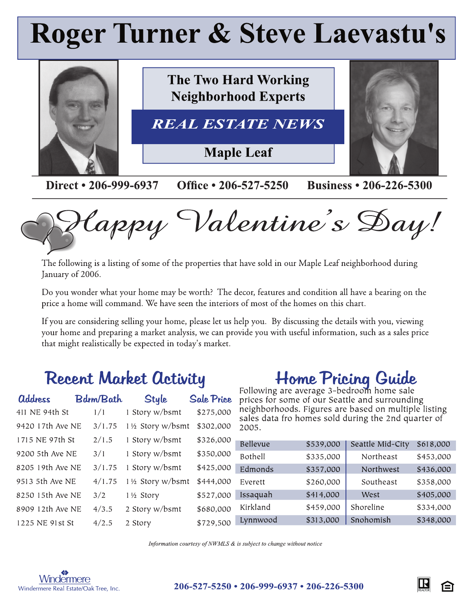# **Roger Turner & Steve Laevastu's**



lappy Valentine's Day!

The following is a listing of some of the properties that have sold in our Maple Leaf neighborhood during January of 2006.

Do you wonder what your home may be worth? The decor, features and condition all have a bearing on the price a home will command. We have seen the interiors of most of the homes on this chart.

If you are considering selling your home, please let us help you. By discussing the details with you, viewing your home and preparing a market analysis, we can provide you with useful information, such as a sales price that might realistically be expected in today's market.

## **Recent Market Activity**

| <b>address</b>   | <b>Bdrm/Bath</b> | <b>Style</b>      | <b>Sale Price</b> |
|------------------|------------------|-------------------|-------------------|
| 411 NE 94th St   | 1/1              | 1 Story w/bsmt    | \$275,000         |
| 9420 17th Ave NE | 3/1.75           | 11/2 Story w/bsmt | \$302,000         |
| 1715 NE 97th St  | 2/1.5            | 1 Story w/bsmt    | \$326,000         |
| 9200 5th Ave NE  | 3/1              | 1 Story w/bsmt    | \$350,000         |
| 8205 19th Ave NE | 3/1.75           | 1 Story w/bsmt    | \$425,000         |
| 9513 5th Ave NE  | 4/1.75           | 11/2 Story w/bsmt | \$444,000         |
| 8250 15th Ave NE | 3/2              | 1½ Story          | \$527,000         |
| 8909 12th Ave NE | 4/3.5            | 2 Story w/bsmt    | \$680,000         |
| 1225 NE 91st St  | 4/2.5            | 2 Story           | \$729,500         |

## Home Pricing Guide

prices for some of our Seattle and surrounding neighborhoods. Figures are based on multiple listing sales data fro homes sold during the 2nd quarter of 2005.

| Bellevue | \$539,000 | Seattle Mid-City | \$618,000 |
|----------|-----------|------------------|-----------|
| Bothell  | \$335,000 | Northeast        | \$453,000 |
| Edmonds  | \$357,000 | Northwest        | \$436,000 |
| Everett  | \$260,000 | Southeast        | \$358,000 |
| Issaquah | \$414,000 | West             | \$405,000 |
| Kirkland | \$459,000 | Shoreline        | \$334,000 |
| Lynnwood | \$313,000 | Snohomish        | \$348,000 |

Information courtesy of NWMLS & is subject to change without notice